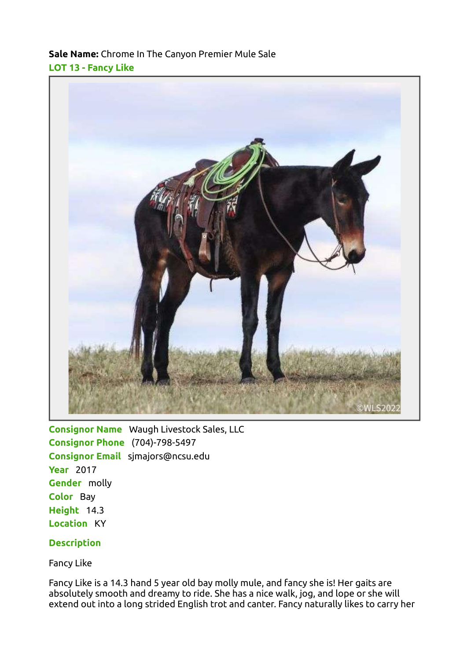## Sale Name: Chrome In The Canyon Premier Mule Sale LOT 13 - Fancy Like



Consignor Name Waugh Livestock Sales, LLC Consignor Phone (704)-798-5497 Consignor Email sjmajors@ncsu.edu **Year** 2017 Gender molly Color Bay Height 14.3 Location KY

## **Description**

Fancy Like

Fancy Like is a 14.3 hand 5 year old bay molly mule, and fancy she is! Her gaits are absolutely smooth and dreamy to ride. She has a nice walk, jog, and lope or she will extend out into a long strided English trot and canter. Fancy naturally likes to carry her